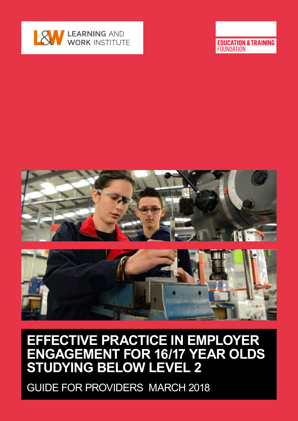

**EDUCATION & TRAINING FOUNDATION** 



# **EFFECTIVE PRACTICE IN EMPLOYER ENGAGEMENT FOR 16/17 YEAR OLDS STUDYING BELOW LEVEL 2**

GUIDE FOR PROVIDERS MARCH 2018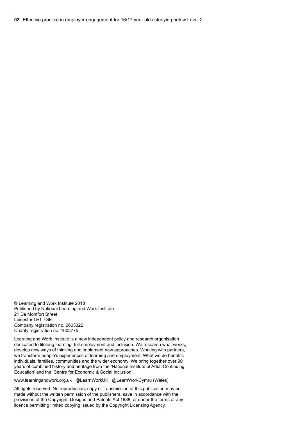© Learning and Work Institute 2018 Published by National Learning and Work Institute 21 De Montfort Street Leicester LE1 7GE Company registration no. 2603322 Charity registration no. 1002775

Learning and Work Institute is a new independent policy and research organisation dedicated to lifelong learning, full employment and inclusion. We research what works, develop new ways of thinking and implement new approaches. Working with partners, we transform people's experiences of learning and employment. What we do benefits individuals, families, communities and the wider economy. We bring together over 90 years of combined history and heritage from the 'National Institute of Adult Continuing Education' and the 'Centre for Economic & Social Inclusion'.

www.learningandwork.org.uk @LearnWorkUK @LearnWorkCymru (Wales)

All rights reserved. No reproduction, copy or transmission of this publication may be made without the written permission of the publishers, save in accordance with the provisions of the Copyright, Designs and Patents Act 1988, or under the terms of any licence permitting limited copying issued by the Copyright Licensing Agency.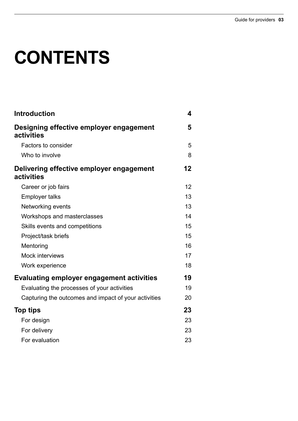# **CONTENTS**

| <b>Introduction</b>                                    | 4  |
|--------------------------------------------------------|----|
| Designing effective employer engagement<br>activities  | 5  |
| Factors to consider                                    | 5  |
| Who to involve                                         | 8  |
| Delivering effective employer engagement<br>activities | 12 |
| Career or job fairs                                    | 12 |
| <b>Employer talks</b>                                  | 13 |
| Networking events                                      | 13 |
| Workshops and masterclasses                            | 14 |
| Skills events and competitions                         | 15 |
| Project/task briefs                                    | 15 |
| Mentoring                                              | 16 |
| Mock interviews                                        | 17 |
| Work experience                                        | 18 |
| <b>Evaluating employer engagement activities</b>       | 19 |
| Evaluating the processes of your activities            | 19 |
| Capturing the outcomes and impact of your activities   | 20 |
| <b>Top tips</b>                                        | 23 |
| For design                                             | 23 |
| For delivery                                           | 23 |
| For evaluation                                         | 23 |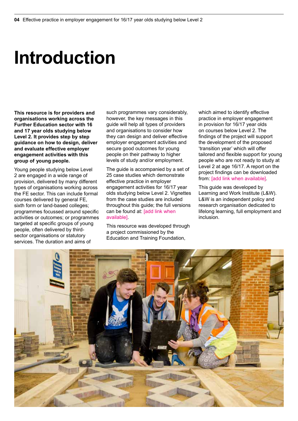# **Introduction**

**This resource is for providers and organisations working across the Further Education sector with 16 and 17 year olds studying below Level 2. It provides step by step guidance on how to design, deliver and evaluate effective employer engagement activities with this group of young people.** 

Young people studying below Level 2 are engaged in a wide range of provision, delivered by many different types of organisations working across the FE sector. This can include formal courses delivered by general FE, sixth form or land-based colleges; programmes focussed around specific activities or outcomes; or programmes targeted at specific groups of young people, often delivered by thirdsector organisations or statutory services. The duration and aims of

such programmes vary considerably, however, the key messages in this guide will help all types of providers and organisations to consider how they can design and deliver effective employer engagement activities and secure good outcomes for young people on their pathway to higher levels of study and/or employment.

The quide is accompanied by a set of 25 case studies which demonstrate effective practice in employer engagement activities for 16/17 year olds studying below Level 2. Vignettes from the case studies are included throughout this guide; the full versions can be found at: [add link when available].

This resource was developed through a project commissioned by the Education and Training Foundation,

which aimed to identify effective practice in employer engagement in provision for 16/17 year olds on courses below Level 2. The findings of the project will support the development of the proposed 'transition year' which will offer tailored and flexible support for young people who are not ready to study at Level 2 at age 16/17. A report on the project findings can be downloaded from: [add link when available].

This guide was developed by Learning and Work Institute (L&W). L&W is an independent policy and research organisation dedicated to lifelong learning, full employment and inclusion.

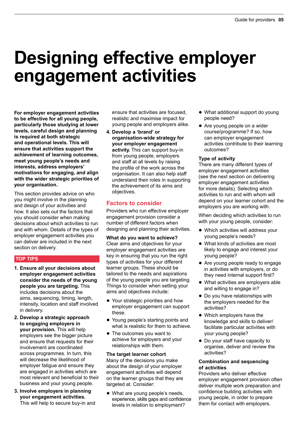# **Designing effective employer engagement activities**

**For employer engagement activities to be effective for all young people, particularly those studying at lower levels, careful design and planning is required at both strategic and operational levels. This will ensure that activities support the achievement of learning outcomes, meet young people's needs and interests, address employers' motivations for engaging, and align with the wider strategic priorities of your organisation.**

This section provides advice on who you might involve in the planning and design of your activities and how. It also sets out the factors that you should consider when making decisions about which activities to run and with whom. Details of the types of employer engagement activities you can deliver are included in the next section on delivery.

# **TOP TIPS**

- **1. Ensure all your decisions about employer engagement activities consider the needs of the young people you are targeting.** This includes decisions about the aims, sequencing, timing, length, intensity, location and staff involved in delivery.
- **2. Develop a strategic approach to engaging employers in your provision.** This will help employers see the bigger picture and ensure that requests for their involvement are coordinated across programmes. In turn, this will decrease the likelihood of employer fatigue and ensure they are engaged in activities which are most relevant and beneficial to their business and your young people.
- **3. Involve employers in planning your engagement activities.** This will help to secure buy-in and

ensure that activities are focused, realistic and maximise impact for young people and employers alike.

**4. Develop a 'brand' or organisation-wide strategy for your employer engagement activity.** This can support buy-in from young people, employers and staff at all levels by raising the profile of the work across the organisation. It can also help staff understand their roles in supporting the achievement of its aims and objectives.

# **Factors to consider**

Providers who run effective employer engagement provision consider a number of different factors when designing and planning their activities.

**What do you want to achieve?** Clear aims and objectives for your employer engagement activities are key in ensuring that you run the right types of activities for your different learner groups. These should be tailored to the needs and aspirations of the young people you are targeting. Things to consider when setting your aims and objectives include:

- Your strategic priorities and how employer engagement can support these.
- Young people's starting points and what is realistic for them to achieve.
- The outcomes you want to achieve for employers and your relationships with them.

# **The target learner cohort**

Many of the decisions you make about the design of your employer engagement activities will depend on the learner groups that they are targeted at. Consider:

• What are young people's needs, experience, skills gaps and confidence levels in relation to employment?

- What additional support do young people need?
- Are young people on a wider course/programme? If so, how can employer engagement activities contribute to their learning outcomes?

### **Type of activity**

There are many different types of employer engagement activities (see the next section on delivering employer engagement activities for more details). Selecting which activities to run and with whom will depend on your learner cohort and the employers you are working with.

When deciding which activities to run with your young people, consider:

- Which activities will address your young people's needs?
- $\bullet$  What kinds of activities are most likely to engage and interest your young people?
- Are young people ready to engage in activities with employers, or do they need internal support first?
- $\bullet$  What activities are employers able and willing to engage in?
- Do you have relationships with the employers needed for the activities?
- $\bullet$  Which employers have the knowledge and skills to deliver/ facilitate particular activities with your young people?
- Do your staff have capacity to organise, deliver and review the activities?

#### **Combination and sequencing of activities**

Providers who deliver effective employer engagement provision often deliver multiple work preparation and confidence building activities with young people, in order to prepare them for contact with employers.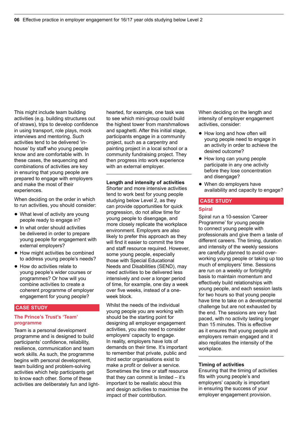This might include team building activities (e.g. building structures out of straws), trips to develop confidence in using transport, role plays, mock interviews and mentoring. Such activities tend to be delivered 'inhouse' by staff who young people know and are comfortable with. In these cases, the sequencing and combinations of activities are key in ensuring that young people are prepared to engage with employers and make the most of their experiences.

When deciding on the order in which to run activities, you should consider:

- What level of activity are young people ready to engage in?
- $\bullet$  In what order should activities be delivered in order to prepare young people for engagement with external employers?
- $\bullet$  How might activities be combined to address young people's needs?
- How do activities relate to young people's wider courses or programmes? Or how will you combine activities to create a coherent programme of employer engagement for young people?

#### **CASE STUDY**

#### **The Prince's Trust's 'Team' programme**

Team is a personal development programme and is designed to build participants' confidence, reliability, resilience, communication and team work skills. As such, the programme begins with personal development, team building and problem-solving activities which help participants get to know each other. Some of these activities are deliberately fun and lighthearted, for example, one task was to see which mini-group could build the highest tower from marshmallows and spaghetti. After this initial stage, participants engage in a community project, such as a carpentry and painting project in a local school or a community fundraising project. They then progress into work experience with an external employer.

**Length and intensity of activities**

Shorter and more intensive activities tend to work best for young people studying below Level 2, as they can provide opportunities for quick progression, do not allow time for young people to disengage, and more closely replicate the workplace environment. Employers are also likely to prefer this approach as they will find it easier to commit the time and staff resource required. However, some young people, especially those with Special Educational Needs and Disabilities (SEND), may need activities to be delivered less intensively and over a longer period of time, for example, one day a week over five weeks, instead of a oneweek block.

Whilst the needs of the individual young people you are working with should be the starting point for designing all employer engagement activities, you also need to consider employers' capacity to engage. In reality, employers have lots of demands on their time. It's important to remember that private, public and third sector organisations exist to make a profit or deliver a service. Sometimes the time or staff resource that they can commit is limited – it's important to be realistic about this and design activities to maximise the impact of their contribution.

When deciding on the length and intensity of employer engagement activities, consider:

- $\bullet$  How long and how often will young people need to engage in an activity in order to achieve the desired outcome?
- How long can young people participate in any one activity before they lose concentration and disengage?
- When do employers have availability and capacity to engage?

# **CASE STUDY**

#### **Spiral**

Spiral run a 10-session 'Career Programme' for young people to connect young people with professionals and give them a taste of different careers. The timing, duration and intensity of the weekly sessions are carefully planned to avoid overworking young people or taking up too much of employers' time. Sessions are run on a weekly or fortnightly basis to maintain momentum and effectively build relationships with young people, and each session lasts for two hours so that young people have time to take on a developmental challenge but are not exhausted by the end. The sessions are very fast paced, with no activity lasting longer than 15 minutes. This is effective as it ensures that young people and employers remain engaged and it also replicates the intensity of the workplace.

### **Timing of activities**

Ensuring that the timing of activities fits with young people's and employers' capacity is important in ensuring the success of your employer engagement provision.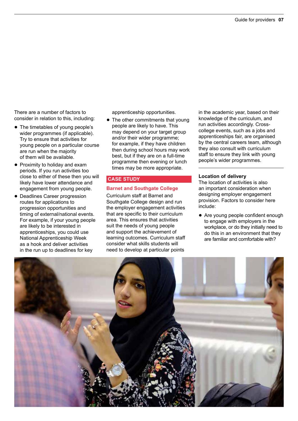There are a number of factors to consider in relation to this, including:

- The timetables of young people's wider programmes (if applicable). Try to ensure that activities for young people on a particular course are run when the majority of them will be available.
- Proximity to holiday and exam periods. If you run activities too close to either of these then you will likely have lower attendance and engagement from young people.
- Deadlines Career progression routes for applications to progression opportunities and timing of external/national events. For example, if your young people are likely to be interested in apprenticeships, you could use National Apprenticeship Week as a hook and deliver activities in the run up to deadlines for key

apprenticeship opportunities.

 $\bullet$  The other commitments that young people are likely to have. This may depend on your target group and/or their wider programme; for example, if they have children then during school hours may work best, but if they are on a full-time programme then evening or lunch times may be more appropriate.

#### **CASE STUDY**

# **Barnet and Southgate College**

Curriculum staff at Barnet and Southgate College design and run the employer engagement activities that are specific to their curriculum area. This ensures that activities suit the needs of young people and support the achievement of learning outcomes. Curriculum staff consider what skills students will need to develop at particular points

in the academic year, based on their knowledge of the curriculum, and run activities accordingly. Crosscollege events, such as a jobs and apprenticeships fair, are organised by the central careers team, although they also consult with curriculum staff to ensure they link with young people's wider programmes.

#### **Location of delivery**

The location of activities is also an important consideration when designing employer engagement provision. Factors to consider here include:

• Are young people confident enough to engage with employers in the workplace, or do they initially need to do this in an environment that they are familiar and comfortable with?

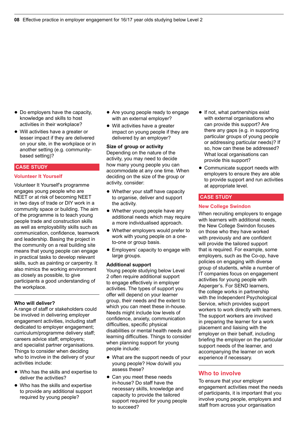- $\bullet$  Do employers have the capacity. knowledge and skills to host activities in their workplace?
- Will activities have a greater or lesser impact if they are delivered on your site, in the workplace or in another setting (e.g. communitybased setting)?

### **CASE STUDY**

#### **Volunteer It Yourself**

Volunteer It Yourself's programme engages young people who are NEET or at risk of becoming NEET in two days of trade or DIY work in a community space or building. The aim of the programme is to teach young people trade and construction skills as well as employability skills such as communication, confidence, teamwork and leadership. Basing the project in the community on a real building site means that young people can engage in practical tasks to develop relevant skills, such as painting or carpentry. It also mimics the working environment as closely as possible, to give participants a good understanding of the workplace.

#### **Who will deliver?**

A range of staff or stakeholders could be involved in delivering employer engagement activities, including staff dedicated to employer engagement; curriculum/programme delivery staff; careers advice staff; employers; and specialist partner organisations. Things to consider when deciding who to involve in the delivery of your activities include:

- Who has the skills and expertise to deliver the activities?
- Who has the skills and expertise to provide any additional support required by young people?
- Are young people ready to engage with an external employer?
- $\bullet$  Will activities have a greater impact on young people if they are delivered by an employer?

# **Size of group or activity**

Depending on the nature of the activity, you may need to decide how many young people you can accommodate at any one time. When deciding on the size of the group or activity, consider:

- Whether your staff have capacity to organise, deliver and support the activity.
- Whether young people have any additional needs which may require a more individualised approach.
- Whether employers would prefer to work with young people on a oneto-one or group basis.
- Employers' capacity to engage with large groups.

#### **Additional support**

Young people studying below Level 2 often require additional support to engage effectively in employer activities. The types of support you offer will depend on your learner group, their needs and the extent to which you can meet these in-house. Needs might include low levels of confidence, anxiety, communication difficulties, specific physical disabilities or mental health needs and learning difficulties. Things to consider when planning support for young people include:

- What are the support needs of your young people? How do/will you assess these?
- Can you meet these needs in-house? Do staff have the necessary skills, knowledge and capacity to provide the tailored support required for young people to succeed?
- $\bullet$  If not, what partnerships exist with external organisations who can provide this support? Are there any gaps (e.g. in supporting particular groups of young people or addressing particular needs)? If so, how can these be addressed? What local organisations can provide this support?
- Communicate support needs with employers to ensure they are able to provide support and run activities at appropriate level.

#### **CASE STUDY**

#### **New College Swindon**

When recruiting employers to engage with learners with additional needs, the New College Swindon focuses on those who they have worked with previously and are confident will provide the tailored support that is required. For example, some employers, such as the Co-op, have policies on engaging with diverse group of students, while a number of IT companies focus on engagement activities for young people with Asperger's. For SEND learners, the college works in partnership with the Independent Psychological Service, which provides support workers to work directly with learners. The support workers are involved in preparing the learner for a work placement and liaising with the employer on their behalf, including briefing the employer on the particular support needs of the learner, and accompanying the learner on work experience if necessary.

# **Who to involve**

To ensure that your employer engagement activities meet the needs of participants, it is important that you involve young people, employers and staff from across your organisation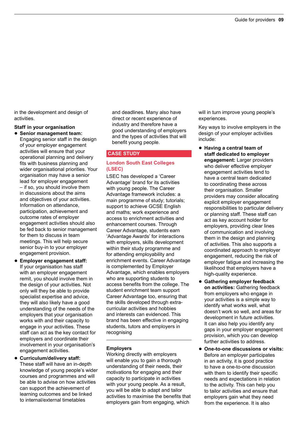in the development and design of activities.

### **Staff in your organisation**

- q **Senior management team:** Engaging senior staff in the design of your employer engagement activities will ensure that your operational planning and delivery fits with business planning and wider organisational priorities. Your organisation may have a senior lead for employer engagement – if so, you should involve them in discussions about the aims and objectives of your activities. Information on attendance, participation, achievement and outcome rates of employer engagement activities should also be fed back to senior management for them to discuss in team meetings. This will help secure senior buy-in to your employer engagement provision.
- q **Employer engagement staff:** If your organisation has staff with an employer engagement remit, you should involve them in the design of your activities. Not only will they be able to provide specialist expertise and advice, they will also likely have a good understanding of the needs of the employers that your organisation works with and their capacity to engage in your activities. These staff can act as the key contact for employers and coordinate their involvement in your organisation's engagement activities.
- q **Curriculum/delivery staff:** These staff will have an in-depth knowledge of young people's wider courses and programmes and will be able to advise on how activities can support the achievement of learning outcomes and be linked to internal/external timetables

and deadlines. Many also have direct or recent experience of industry and therefore have a good understanding of employers and the types of activities that will benefit young people.

# **CASE STUDY**

# **London South East Colleges (LSEC)**

LSEC has developed a 'Career Advantage' brand for its activities with young people. The Career Advantage framework includes: a main programme of study; tutorials; support to achieve GCSE English and maths; work experience and access to enrichment activities and enhancement courses. Through Career Advantage, students earn 'Advantage Awards' for interactions with employers, skills development within their study programme and for attending employability and enrichment events. Career Advantage is complemented by Employer Advantage, which enables employers who are supporting students to access benefits from the college. The student enrichment team support Career Advantage too, ensuring that the skills developed through extracurricular activities and hobbies and interests can evidenced. This brand has been effective in engaging students, tutors and employers in recognising

# **Employers**

Working directly with employers will enable you to gain a thorough understanding of their needs, their motivations for engaging and their capacity to participate in activities with your young people. As a result, you will be able to adapt and tailor activities to maximise the benefits that employers gain from engaging, which

will in turn improve young people's experiences.

Key ways to involve employers in the design of your employer activities include:

- q **Having a central team of staff dedicated to employer engagement:** Larger providers who deliver effective employer engagement activities tend to have a central team dedicated to coordinating these across their organisation. Smaller providers may consider allocating explicit employer engagement responsibilities to particular delivery or planning staff. These staff can act as key account holder for employers, providing clear lines of communication and involving them in the design and planning of activities. This also supports a coordinated approach to employer engagement, reducing the risk of employer fatigue and increasing the likelihood that employers have a high-quality experience.
- q **Gathering employer feedback on activities:** Gathering feedback from employers who engage in your activities is a simple way to identify what works well, what doesn't work so well, and areas for development in future activities. It can also help you identify any gaps in your employer engagement provision, which you can develop further activities to address.
- **One-to-one discussions or visits:** Before an employer participates in an activity, it is good practice to have a one-to-one discussion with them to identify their specific needs and expectations in relation to the activity. This can help you to tailor activities and ensure that employers gain what they need from the experience. It is also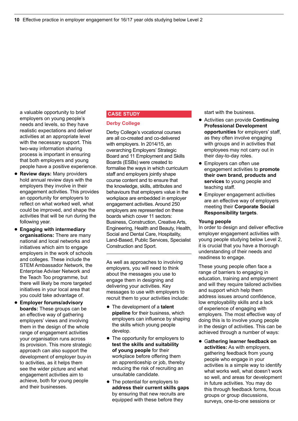a valuable opportunity to brief employers on young people's needs and levels, so they have realistic expectations and deliver activities at an appropriate level with the necessary support. This two-way information sharing process is important in ensuring that both employers and young people have a positive experience.

- **Review days: Many providers** hold annual review days with the employers they involve in their engagement activities. This provides an opportunity for employers to reflect on what worked well, what could be improved, and shape the activities that will be run during the following year.
- q **Engaging with intermediary organisations:** There are many national and local networks and initiatives which aim to engage employers in the work of schools and colleges. These include the STEM Ambassador Network, the Enterprise Adviser Network and the Teach Too programme, but there will likely be more targeted initiatives in your local area that you could take advantage of.
- q **Employer forums/advisory boards:** These groups can be an effective way of gathering employers' views and involving them in the design of the whole range of engagement activities your organisation runs across its provision. This more strategic approach can also support the development of employer buy-in to activities, as it helps them see the wider picture and what engagement activities aim to achieve, both for young people and their businesses.

# **CASE STUDY**

#### **Derby College**

Derby College's vocational courses are all co-created and co-delivered with employers. In 2014/15, an overarching Employers' Strategic Board and 11 Employment and Skills Boards (ESBs) were created to formalise the ways in which curriculum staff and employers jointly shape course content and to ensure that the knowledge, skills, attributes and behaviours that employers value in the workplace are embedded in employer engagement activities. Around 250 employers are represented on these boards which cover 11 sectors: Business, Construction, Creative Arts, Engineering, Health and Beauty, Health, Social and Dental Care, Hospitality, Land-Based, Public Services, Specialist Construction and Sport.

As well as approaches to involving employers, you will need to think about the messages you use to engage them in designing and delivering your activities. Key messages to use with employers to recruit them to your activities include:

- The development of a **talent pipeline** for their business, which employers can influence by shaping the skills which young people develop.
- The opportunity for employers to **test the skills and suitability of young people** for their workplace before offering them an apprenticeship or job, thereby reducing the risk of recruiting an unsuitable candidate.
- The potential for employers to **address their current skills gaps**  by ensuring that new recruits are equipped with these before they

start with the business.

- q Activities can provide **Continuing Professional Development opportunities** for employers' staff, as they often involve engaging with groups and in activities that employees may not carry out in their day-to-day roles.
- Employers can often use engagement activities to **promote their own brand, products and services** to young people and teaching staff.
- Employer engagement activities are an effective way of employers meeting their **Corporate Social Responsibility targets**.

#### **Young people**

In order to design and deliver effective employer engagement activities with young people studying below Level 2, it is crucial that you have a thorough understanding of their needs and readiness to engage.

These young people often face a range of barriers to engaging in education, training and employment and will they require tailored activities and support which help them address issues around confidence, low employability skills and a lack of experience of engaging with employers. The most effective way of doing this is to involve young people in the design of activities. This can be achieved through a number of ways:

q G**athering learner feedback on activities:** As with employers, gathering feedback from young people who engage in your activities is a simple way to identify what works well, what doesn't work so well, and areas for development in future activities. You may do this through feedback forms, focus groups or group discussions, surveys, one-to-one sessions or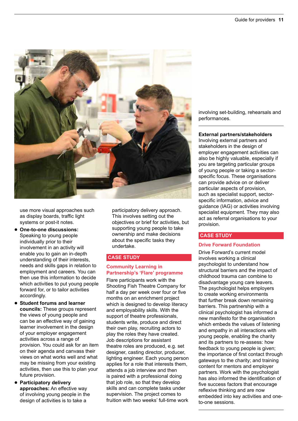

use more visual approaches such as display boards, traffic light systems or post-it notes.

- q **One-to-one discussions:** Speaking to young people individually prior to their involvement in an activity will enable you to gain an in-depth understanding of their interests, needs and skills gaps in relation to employment and careers. You can then use this information to decide which activities to put young people forward for, or to tailor activities accordingly.
- q **Student forums and learner councils:** These groups represent the views of young people and can be an effective way of gaining learner involvement in the design of your employer engagement activities across a range of provision. You could ask for an item on their agenda and canvass their views on what works well and what may be missing from your existing activities, then use this to plan your future provision.
- q **Participatory delivery approaches:** An effective way of involving young people in the design of activities is to take a

participatory delivery approach. This involves setting out the objectives or brief for activities, but supporting young people to take ownership and make decisions about the specific tasks they undertake.

# **CASE STUDY**

# **Community Learning in Partnership's 'Flare' programme**

Flare participants work with the Shooting Fish Theatre Company for half a day per week over four or five months on an enrichment project which is designed to develop literacy and employability skills. With the support of theatre professionals, students write, produce and direct their own play, recruiting actors to play the roles they have created. Job descriptions for assistant theatre roles are produced, e.g. set designer, casting director, producer, lighting engineer. Each young person applies for a role that interests them, attends a job interview and then is paired with a professional doing that job role, so that they develop skills and can complete tasks under supervision. The project comes to fruition with two weeks' full-time work

involving set-building, rehearsals and performances.

#### **External partners/stakeholders**

Involving external partners and stakeholders in the design of employer engagement activities can also be highly valuable, especially if you are targeting particular groups of young people or taking a sectorspecific focus. These organisations can provide advice on or deliver particular aspects of provision, such as specialist support, sectorspecific information, advice and guidance (IAG) or activities involving specialist equipment. They may also act as referral organisations to your provision.

# **CASE STUDY**

# **Drive Forward Foundation**

Drive Forward's current model involves working a clinical psychologist to understand how structural barriers and the impact of childhood trauma can combine to disadvantage young care leavers. The psychologist helps employers to create working environments that further break down remaining barriers. This partnership with a clinical psychologist has informed a new manifesto for the organisation which embeds the values of listening and empathy in all interactions with young people, enabling the charity and its partners to re-assess: how feedback to young people is given; the importance of first contact through gateways to the charity; and training content for mentors and employer partners. Work with the psychologist has also informed the identification of five success factors that encourage reflexive thinking and are now embedded into key activities and oneto-one sessions.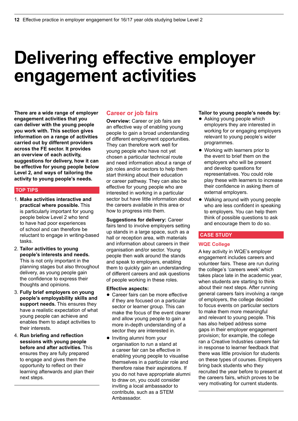# **Delivering effective employer engagement activities**

**There are a wide range of employer engagement activities that you can deliver with the young people you work with. This section gives information on a range of activities carried out by different providers across the FE sector. It provides an overview of each activity, suggestions for delivery, how it can be effective for young people below Level 2, and ways of tailoring the activity to young people's needs.** 

# **TOP TIPS**

- 1. **Make activities interactive and practical where possible.** This is particularly important for young people below Level 2 who tend to have had poor experiences of school and can therefore be reluctant to engage in writing-based tasks.
- 2. **Tailor activities to young people's interests and needs.** This is not only important in the planning stages but also throughout delivery, as young people gain the confidence to express their thoughts and opinions.
- 3. **Fully brief employers on young people's employability skills and support needs.** This ensures they have a realistic expectation of what young people can achieve and enables them to adapt activities to their interests.
- 4. **Run briefing and reflection sessions with young people before and after activities.** This ensures they are fully prepared to engage and gives them the opportunity to reflect on their learning afterwards and plan their next steps.

# **Career or job fairs**

**Overview:** Career or job fairs are an effective way of enabling young people to gain a broad understanding of different employment opportunities. They can therefore work well for young people who have not yet chosen a particular technical route and need information about a range of job roles and/or sectors to help them start thinking about their education or career pathway. They can also be effective for young people who are interested in working in a particular sector but have little information about the careers available in this area or how to progress into them.

**Suggestions for delivery:** Career fairs tend to involve employers setting up stands in a large space, such as a hall or reception area, with materials and information about careers in their organisation and/or sector. Young people then walk around the stands and speak to employers, enabling them to quickly gain an understanding of different careers and ask questions of people working in these roles.

#### **Effective aspects:**

- Career fairs can be more effective if they are focused on a particular sector or learner group. This can make the focus of the event clearer and allow young people to gain a more in-depth understanding of a sector they are interested in.
- Inviting alumni from your organisation to run a stand at a career fair can be effective in enabling young people to visualise themselves in a particular role and therefore raise their aspirations. If you do not have appropriate alumni to draw on, you could consider inviting a local ambassador to contribute, such as a STEM Ambassador.

#### **Tailor to young people's needs by:**

- Asking young people which employers they are interested in working for or engaging employers relevant to young people's wider programmes.
- Working with learners prior to the event to brief them on the employers who will be present and develop questions for representatives. You could role play these with learners to increase their confidence in asking them of external employers.
- Walking around with young people who are less confident in speaking to employers. You can help them think of possible questions to ask and encourage them to do so.

# **CASE STUDY**

# **WQE College**

A key activity in WQE's employer engagement includes careers and volunteer fairs. These are run during the college's 'careers week' which takes place late in the academic year, when students are starting to think about their next steps. After running general careers fairs involving a range of employers, the college decided to focus events on particular sectors to make them more meaningful and relevant to young people. This has also helped address some gaps in their employer engagement provision; for example, the college ran a Creative Industries careers fair in response to learner feedback that there was little provision for students on these types of courses. Employers bring back students who they recruited the year before to present at the careers fairs, which proves to be very motivating for current students.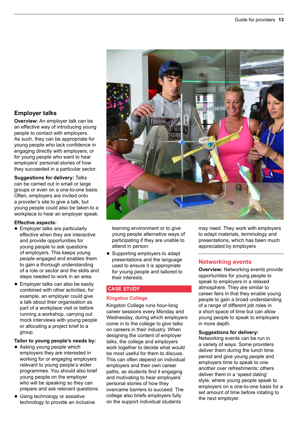# **Employer talks**

**Overview:** An employer talk can be an effective way of introducing young people to contact with employers. As such, they can be appropriate for young people who lack confidence in engaging directly with employers, or for young people who want to hear employers' personal stories of how they succeeded in a particular sector.

**Suggestions for delivery:** Talks can be carried out in small or large groups or even on a one-to-one basis. Often, employers are invited onto a provider's site to give a talk, but young people could also be taken to a workplace to hear an employer speak.

# **Effective aspects:**

- Employer talks are particularly effective when they are interactive and provide opportunities for young people to ask questions of employers. This keeps young people engaged and enables them to gain a thorough understanding of a role or sector and the skills and steps needed to work in an area.
- $\bullet$  Employer talks can also be easily combined with other activities; for example, an employer could give a talk about their organisation as part of a workplace visit or before running a workshop, carrying out mock interviews with young people or allocating a project brief to a group.

#### **Tailor to young people's needs by:**

- Asking young people which employers they are interested in working for or engaging employers relevant to young people's wider programmes. You should also brief young people on the employer who will be speaking so they can prepare and ask relevant questions.
- Using technology or assistive technology to provide an inclusive



learning environment or to give young people alternative ways of participating if they are unable to attend in person.

• Supporting employers to adapt presentations and the language used to ensure it is appropriate for young people and tailored to their interests.

# **CASE STUDY**

# **Kingston College**

Kingston College runs hour-long career sessions every Monday and Wednesday, during which employers come in to the college to give talks on careers in their industry. When designing the content of employer talks, the college and employers work together to decide what would be most useful for them to discuss. This can often depend on individual employers and their own career paths, as students find it engaging and motivating to hear employers' personal stories of how they overcame barriers to succeed. The college also briefs employers fully on the support individual students

may need. They work with employers to adapt materials, terminology and presentations, which has been much appreciated by employers

# **Networking events**

**Overview:** Networking events provide opportunities for young people to speak to employers in a relaxed atmosphere. They are similar to career fairs in that they enable young people to gain a broad understanding of a range of different job roles in a short space of time but can allow young people to speak to employers in more depth.

### **Suggestions for delivery:**

Networking events can be run in a variety of ways. Some providers deliver them during the lunch time period and give young people and employers time to speak to one another over refreshments; others deliver them in a 'speed dating' style, where young people speak to employers on a one-to-one basis for a set amount of time before rotating to the next employer.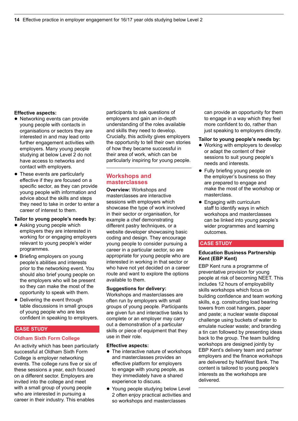#### **Effective aspects:**

- Networking events can provide young people with contacts in organisations or sectors they are interested in and may lead onto further engagement activities with employers. Many young people studying at below Level 2 do not have access to networks and contact with employers.
- These events are particularly effective if they are focused on a specific sector, as they can provide young people with information and advice about the skills and steps they need to take in order to enter a career of interest to them.

#### **Tailor to young people's needs by:**

- Asking young people which employers they are interested in working for or engaging employers relevant to young people's wider programmes.
- Briefing employers on young people's abilities and interests prior to the networking event. You should also brief young people on the employers who will be present so they can make the most of the opportunity to speak with them.
- Delivering the event through table discussions in small groups of young people who are less confident in speaking to employers.

#### **CASE STUDY**

### **Oldham Sixth Form College**

An activity which has been particularly successful at Oldham Sixth Form College is employer networking events. The college runs five or six of these sessions a year, each focused on a different sector. Employers are invited into the college and meet with a small group of young people who are interested in pursuing a career in their industry. This enables

participants to ask questions of employers and gain an in-depth understanding of the roles available and skills they need to develop. Crucially, this activity gives employers the opportunity to tell their own stories of how they became successful in their area of work, which can be particularly inspiring for young people.

# **Workshops and masterclasses**

**Overview:** Workshops and masterclasses are interactive sessions with employers which showcase the type of work involved in their sector or organisation, for example a chef demonstrating different pastry techniques, or a website developer showcasing basic coding and design. They encourage young people to consider pursuing a career in a particular sector, so are appropriate for young people who are interested in working in that sector or who have not yet decided on a career route and want to explore the options available to them.

#### **Suggestions for delivery:**

Workshops and masterclasses are often run by employers with small groups of young people. Participants are given fun and interactive tasks to complete or an employer may carry out a demonstration of a particular skills or piece of equipment that they use in their role.

#### **Effective aspects:**

- The interactive nature of workshops and masterclasses provides an effective platform for employers to engage with young people, as they immediately have a shared experience to discuss.
- Young people studying below Level 2 often enjoy practical activities and so workshops and masterclasses

can provide an opportunity for them to engage in a way which they feel more confident to do, rather than just speaking to employers directly.

#### **Tailor to young people's needs by:**

- Working with employers to develop or adapt the content of their sessions to suit young people's needs and interests.
- Fully briefing young people on the employer's business so they are prepared to engage and make the most of the workshop or masterclass.
- Engaging with curriculum staff to identify ways in which workshops and masterclasses can be linked into young people's wider programmes and learning outcomes.

# **CASE STUDY**

### **Education Business Partnership Kent (EBP Kent)**

EBP Kent runs a programme of preventative provision for young people at risk of becoming NEET. This includes 12 hours of employability skills workshops which focus on building confidence and team working skills, e.g. constructing load bearing towers from coat hangers, paper and paste; a nuclear waste disposal challenge using buckets of water to emulate nuclear waste; and branding a tin can followed by presenting ideas back to the group. The team building workshops are designed jointly by EBP Kent's delivery team and partner employers and the finance workshops are delivered by NatWest Bank. The content is tailored to young people's interests as the workshops are delivered.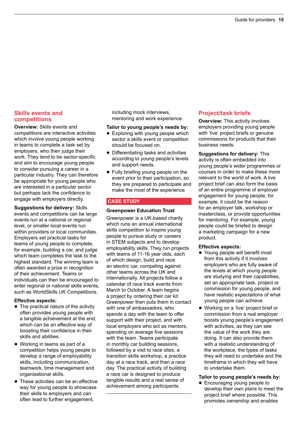# **Skills events and competitions**

**Overview:** Skills events and competitions are interactive activities which involve young people working in teams to complete a task set by employers, who then judge their work. They tend to be sector-specific and aim to encourage young people to consider pursuing a career in a particular industry. They can therefore be appropriate for young people who are interested in a particular sector but perhaps lack the confidence to engage with employers directly.

**Suggestions for delivery:** Skills events and competitions can be large events run at a national or regional level, or smaller local events run within providers or local communities. Employers set practical tasks for teams of young people to complete, for example, building a car, and judge which team completes the task to the highest standard. The winning team is often awarded a prize in recognition of their achievement. Teams or individuals can then be encouraged to enter regional or national skills events, such as WorldSkills UK Competitions.

# **Effective aspects:**

- $\bullet$  The practical nature of the activity often provides young people with a tangible achievement at the end, which can be an effective way of boosting their confidence in their skills and abilities.
- Working in teams as part of a competition helps young people to develop a range of employability skills, including communication, teamwork, time management and organisational skills.
- These activities can be an effective way for young people to showcase their skills to employers and can often lead to further engagement,

including mock interviews, mentoring and work experience.

### **Tailor to young people's needs by:**

- $\bullet$  Exploring with young people which sector a skills event or competition should be focused on.
- Differentiating tasks and activities according to young people's levels and support needs.
- Fully briefing young people on the event prior to their participation, so they are prepared to participate and make the most of the experience.

# **CASE STUDY**

# **Greenpower Education Trust**

Greenpower is a UK-based charity which runs an annual international skills competition to inspire young people to pursue study or careers in STEM subjects and to develop employability skills. They run projects with teams of 11-16 year olds, each of which design, build and race an electric car, competing against other teams across the UK and internationally. All projects follow a calendar of race track events from March to October. A team begins a project by ordering their car kit. Greenpower then puts them in contact with one of ambassadors, who spends a day with the team to offer support with their project, and with local employers who act as mentors, spending on average five sessions with the team. Teams participate in monthly car building sessions, followed by a visit to race sites, a transition skills workshop, a practice day at a race track, and then a race day. The practical activity of building a race car is designed to produce tangible results and a real sense of achievement among participants.

# **Project/task briefs**

**Overview:** This activity involves employers providing young people with 'live' project briefs or genuine commissions for products that their business needs.

**Suggestions for delivery:** This activity is often embedded into young people's wider programmes or courses in order to make these more relevant to the world of work. A live project brief can also form the basis of an entire programme of employer engagement for young people; for example, it could be the reason for an employer talk, workshop or masterclass, or provide opportunities for mentoring. For example, young people could be briefed to design a marketing campaign for a new product.

#### **Effective aspects:**

- Young people will benefit most from this activity if it involves employers who are fully aware of the levels at which young people are studying and their capabilities, set an appropriate task, project or commission for young people, and have realistic expectations of what young people can achieve.
- Working on a 'live' project brief or commission from a real employer boosts young people's engagement with activities, as they can see the value of the work they are doing. It can also provide them with a realistic understanding of the workplace, the types of tasks they will need to undertake and the timeframe in which they will have to undertake them.

# **Tailor to young people's needs by:**

• Encouraging young people to develop their own plans to meet the project brief where possible. This promotes ownership and enables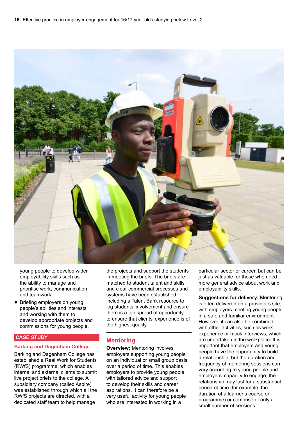

young people to develop wider employability skills such as the ability to manage and prioritise work, communication and teamwork.

• Briefing employers on young people's abilities and interests and working with them to develop appropriate projects and commissions for young people.

### **CASE STUDY**

#### **Barking and Dagenham College**

Barking and Dagenham College has established a Real Work for Students (RWfS) programme, which enables internal and external clients to submit live project briefs to the college. A subsidiary company (called Aspire) was established through which all the RWfS projects are directed, with a dedicated staff team to help manage

the projects and support the students in meeting the briefs. The briefs are matched to student talent and skills and clear commercial processes and systems have been established – including a Talent Bank resource to log students' involvement and ensure there is a fair spread of opportunity – to ensure that clients' experience is of the highest quality.

#### **Mentoring**

**Overview:** Mentoring involves employers supporting young people on an individual or small group basis over a period of time. This enables employers to provide young people with tailored advice and support to develop their skills and career aspirations. It can therefore be a very useful activity for young people who are interested in working in a

particular sector or career, but can be just as valuable for those who need more general advice about work and employability skills.

**Suggestions for delivery:** Mentoring is often delivered on a provider's site, with employers meeting young people in a safe and familiar environment. However, it can also be combined with other activities, such as work experience or mock interviews, which are undertaken in the workplace. It is important that employers and young people have the opportunity to build a relationship, but the duration and frequency of mentoring sessions can vary according to young people and employers' capacity to engage; the relationship may last for a substantial period of time (for example, the duration of a learner's course or programme) or comprise of only a small number of sessions.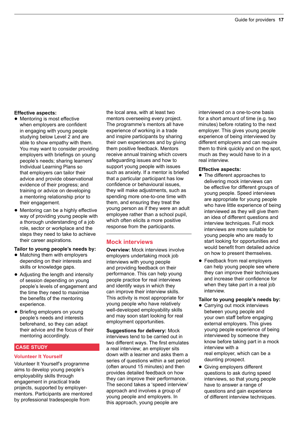### **Effective aspects:**

- Mentoring is most effective when employers are confident in engaging with young people studying below Level 2 and are able to show empathy with them. You may want to consider providing employers with briefings on young people's needs; sharing learners' Individual Learning Plans so that employers can tailor their advice and provide observational evidence of their progress; and training or advice on developing a mentoring relationship prior to their engagement.
- Mentoring can be a highly effective way of providing young people with a thorough understanding of a job role, sector or workplace and the steps they need to take to achieve their career aspirations.

# **Tailor to young people's needs by:**

- Matching them with employers depending on their interests and skills or knowledge gaps.
- Adjusting the length and intensity of session depending on young people's levels of engagement and the time they need to maximise the benefits of the mentoring experience.
- Briefing employers on young people's needs and interests beforehand, so they can adapt their advice and the focus of their mentoring accordingly.

# **CASE STUDY**

# **Volunteer It Yourself**

Volunteer It Yourself's programme aims to develop young people's employability skills through engagement in practical trade projects, supported by employermentors. Participants are mentored by professional tradespeople from

the local area, with at least two mentors overseeing every project. The programme's mentors all have experience of working in a trade and inspire participants by sharing their own experiences and by giving them positive feedback. Mentors receive annual training which covers safeguarding issues and how to support young people with issues such as anxiety. If a mentor is briefed that a particular participant has low confidence or behavioural issues, they will make adjustments, such as spending more one-to-one time with them, and ensuring they treat the young person as if they were an adult employee rather than a school pupil, which often elicits a more positive response from the participants.

# **Mock interviews**

**Overview:** Mock interviews involve employers undertaking mock job interviews with young people and providing feedback on their performance. This can help young people practice for real interviews and identify ways in which they can improve their interview skills. This activity is most appropriate for young people who have relatively well-developed employability skills and may soon start looking for real employment opportunities.

**Suggestions for delivery:** Mock interviews tend to be carried out in two different ways. The first emulates a real interview; an employer sits down with a learner and asks them a series of questions within a set period (often around 15 minutes) and then provides detailed feedback on how they can improve their performance. The second takes a 'speed interview' approach and involves a group of young people and employers. In this approach, young people are

interviewed on a one-to-one basis for a short amount of time (e.g. two minutes) before rotating to the next employer. This gives young people experience of being interviewed by different employers and can require them to think quickly and on the spot, much as they would have to in a real interview.

#### **Effective aspects:**

- The different approaches to delivering mock interviews can be effective for different groups of young people. Speed interviews are appropriate for young people who have little experience of being interviewed as they will give them an idea of different questions and interview techniques. Full mock interviews are more suitable for young people who are ready to start looking for opportunities and would benefit from detailed advice on how to present themselves.
- Feedback from real employers can help young people see where they can improve their techniques and increase their confidence for when they take part in a real job interview.

#### **Tailor to young people's needs by:**

- Carrying out mock interviews between young people and your own staff before engaging external employers. This gives young people experience of being interviewed by someone they know before taking part in a mock interview with a real employer, which can be a daunting prospect.
- Giving employers different questions to ask during speed interviews, so that young people have to answer a range of questions and gain experience of different interview techniques.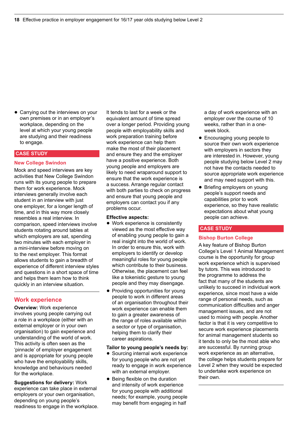• Carrving out the interviews on your own premises or in an employer's workplace, depending on the level at which your young people are studying and their readiness to engage.

#### **CASE STUDY**

#### **New College Swindon**

Mock and speed interviews are key activities that New College Swindon runs with its young people to prepare them for work experience. Mock interviews generally involve each student in an interview with just one employer, for a longer length of time, and in this way more closely resembles a real interview. In comparison, speed interviews involve students rotating around tables at which employers are sat, spending two minutes with each employer in a mini-interview before moving on to the next employer. This format allows students to gain a breadth of experience of different interview styles and questions in a short space of time and helps them learn how to think quickly in an interview situation.

# **Work experience**

**Overview:** Work experience involves young people carrying out a role in a workplace (either with an external employer or in your own organisation) to gain experience and understanding of the world of work. This activity is often seen as the 'pinnacle' of employer engagement and is appropriate for young people who have the employability skills, knowledge and behaviours needed for the workplace.

**Suggestions for delivery:** Work experience can take place in external employers or your own organisation, depending on young people's readiness to engage in the workplace. It tends to last for a week or the equivalent amount of time spread over a longer period. Providing young people with employability skills and work preparation training before work experience can help them make the most of their placement and ensure they and the employer have a positive experience. Both young people and employers are likely to need wraparound support to ensure that the work experience is a success. Arrange regular contact with both parties to check on progress and ensure that young people and employers can contact you if any problems occur.

#### **Effective aspects:**

- Work experience is consistently viewed as the most effective way of enabling young people to gain a real insight into the world of work. In order to ensure this, work with employers to identify or develop meaningful roles for young people which contribute to their business. Otherwise, the placement can feel like a tokenistic gesture to young people and they may disengage.
- Providing opportunities for young people to work in different areas of an organisation throughout their work experience can enable them to gain a greater awareness of the range of roles available within a sector or type of organisation, helping them to clarify their career aspirations.

#### **Tailor to young people's needs by:**

- Sourcing internal work experience for young people who are not yet ready to engage in work experience with an external employer.
- Being flexible on the duration and intensity of work experience for young people with additional needs; for example, young people may benefit from engaging in half

a day of work experience with an employer over the course of 10 weeks, rather than in a oneweek block.

- Encouraging young people to source their own work experience with employers in sectors they are interested in. However, young people studying below Level 2 may not have the contacts needed to source appropriate work experience and may need support with this.
- Briefing employers on young people's support needs and capabilities prior to work experience, so they have realistic expectations about what young people can achieve.

#### **CASE STUDY**

#### **Bishop Burton College**

A key feature of Bishop Burton College's Level 1 Animal Management course is the opportunity for group work experience which is supervised by tutors. This was introduced to the programme to address the fact that many of the students are unlikely to succeed in individual work experience, since most have a wide range of personal needs, such as communication difficulties and anger management issues, and are not used to mixing with people. Another factor is that it is very competitive to secure work experience placements for animal management students so it tends to only be the most able who are successful. By running group work experience as an alternative, the college helps students prepare for Level 2 when they would be expected to undertake work experience on their own.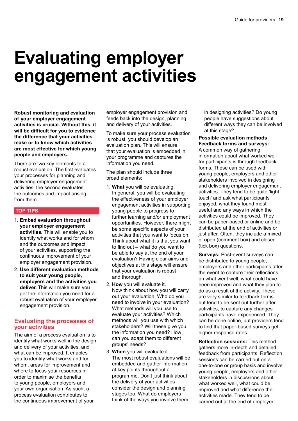# **Evaluating employer engagement activities**

**Robust monitoring and evaluation of your employer engagement activities is crucial. Without this, it will be difficult for you to evidence the difference that your activities make or to know which activities are most effective for which young people and employers.**

There are two key elements to a robust evaluation. The first evaluates your processes for planning and delivering employer engagement activities; the second evaluates the outcomes and impact arising from them.

# **TOP TIPS**

- 1. **Embed evaluation throughout your employer engagement activities.** This will enable you to identify what works and for whom and the outcomes and impact of your activities, supporting the continuous improvement of your employer engagement provision.
- 2. **Use different evaluation methods to suit your young people, employers and the activities you deliver.** This will make sure you get the information you need for a robust evaluation of your employer engagement provision.

# **Evaluating the processes of your activities**

The aim of a process evaluation is to identify what works well in the design and delivery of your activities, and what can be improved. It enables you to identify what works and for whom, areas for improvement and where to focus your resources in order to maximise the benefits to young people, employers and your own organisation. As such, a process evaluation contributes to the continuous improvement of your

employer engagement provision and feeds back into the design, planning and delivery of your activities.

To make sure your process evaluation is robust, you should develop an evaluation plan. This will ensure that your evaluation is embedded in your programme and captures the information you need.

The plan should include three broad elements:

- 1. **What** you will be evaluating. In general, you will be evaluating the effectiveness of your employer engagement activities in supporting young people to progress to further learning and/or employment opportunities. However, there might be some specific aspects of your activities that you want to focus on. Think about what it is that you want to find out – what do you want to be able to say at the end of your evaluation? Having clear aims and objectives at this stage will ensure that your evaluation is robust and thorough.
- 2. **How** you will evaluate it. Now think about how you will carry out your evaluation. Who do you need to involve in your evaluation? What methods will you use to evaluate your activities? Which methods will you use with which stakeholders? Will these give you the information you need? How can you adapt them to different groups' needs?
- 3. **When** you will evaluate it. The most robust evaluations will be embedded and gather information at key points throughout a programme. Don't just think about the delivery of your activities – consider the design and planning stages too. What do employers think of the ways you involve them

in designing activities? Do young people have suggestions about different ways they can be involved at this stage?

**Possible evaluation methods Feedback forms and surveys:**  A common way of gathering information about what worked well for participants is through feedback forms. These can be used with young people, employers and other stakeholders involved in designing and delivering employer engagement activities. They tend to be quite 'light touch' and ask what participants enjoyed, what they found most useful and any ways in which the activities could be improved. They can be paper-based or online and be distributed at the end of activities or just after. Often, they include a mixed of open (comment box) and closed (tick box) questions.

**Surveys:** Post-event surveys can be distributed to young people, employers and other participants after the event to capture their reflections on what went well, what could have been improved and what they plan to do as a result of the activity. These are very similar to feedback forms but tend to be sent out further after activities, to capture any changes participants have experienced. They can be done online, but providers tend to find that paper-based surveys get higher response rates.

**Reflection sessions:** This method gathers more in-depth and detailed feedback from participants. Reflection sessions can be carried out on a one-to-one or group basis and involve young people, employers and other stakeholders in discussions about what worked well, what could be improved and what difference the activities made. They tend to be carried out at the end of employer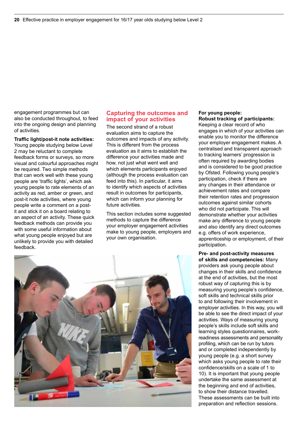engagement programmes but can also be conducted throughout, to feed into the ongoing design and planning of activities.

**Traffic light/post-it note activities:** Young people studying below Level 2 may be reluctant to complete feedback forms or surveys, so more visual and colourful approaches might be required. Two simple methods that can work well with these young people are 'traffic lights', which ask young people to rate elements of an activity as red, amber or green, and post-it note activities, where young people write a comment on a postit and stick it on a board relating to an aspect of an activity. These quick feedback methods can provide you with some useful information about what young people enjoyed but are unlikely to provide you with detailed feedback.

# **Capturing the outcomes and impact of your activities**

The second strand of a robust evaluation aims to capture the outcomes and impacts of any activity. This is different from the process evaluation as it aims to establish the difference your activities made and how, not just what went well and which elements participants enjoyed (although the process evaluation can feed into this). In particular, it aims to identify which aspects of activities result in outcomes for participants, which can inform your planning for future activities.

This section includes some suggested methods to capture the difference your employer engagement activities make to young people, employers and your own organisation.



#### **For young people: Robust tracking of participants:**

Keeping a clear record of who engages in which of your activities can enable you to monitor the difference your employer engagement makes. A centralised and transparent approach to tracking learners' progression is often required by awarding bodies and is considered to be good practice by Ofsted. Following young people's participation, check if there are any changes in their attendance or achievement rates and compare their retention rates and progression outcomes against similar cohorts who did not participate. This will demonstrate whether your activities make any difference to young people and also identify any direct outcomes e.g. offers of work experience, apprenticeship or employment, of their participation.

**Pre- and post-activity measures of skills and competencies:** Many providers ask young people about changes in their skills and confidence at the end of activities, but the most robust way of capturing this is by measuring young people's confidence, soft skills and technical skills prior to and following their involvement in employer activities. In this way, you will be able to see the direct impact of your activities. Ways of measuring young people's skills include soft skills and learning styles questionnaires, workreadiness assessments and personality profiling, which can be run by tutors and or completed independently by young people (e.g. a short survey which asks young people to rate their confidence/skills on a scale of 1 to 10). It is important that young people undertake the same assessment at the beginning and end of activities, to show their distance travelled. These assessments can be built into preparation and reflection sessions.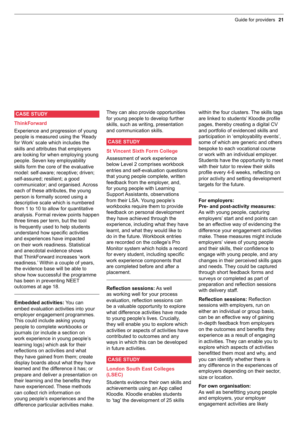# **CASE STUDY**

#### **ThinkForward**

Experience and progression of young people is measured using the 'Ready for Work' scale which includes the skills and attributes that employers are looking for when employing young people. Seven key employability skills form the core of the evaluative model: self-aware; receptive; driven; self-assured; resilient; a good communicator; and organised. Across each of these attributes, the young person is formally scored using a descriptive scale which is numbered from 1 to 10 to allow for quantitative analysis. Formal review points happen three times per term, but the tool is frequently used to help students understand how specific activities and experiences have impacted on their work readiness. Statistical and anecdotal evidence shows that ThinkForward increases 'work readiness.' Within a couple of years, the evidence base will be able to show how successful the programme has been in preventing NEET outcomes at age 18.

**Embedded activities:** You can embed evaluation activities into your employer engagement programmes. This could include asking young people to complete workbooks or journals (or include a section on work experience in young people's learning logs) which ask for their reflections on activities and what they have gained from them; create display boards about what they have learned and the difference it has; or prepare and deliver a presentation on their learning and the benefits they have experienced. These methods can collect rich information on young people's experiences and the difference particular activities make.

They can also provide opportunities for young people to develop further skills, such as writing, presentation and communication skills.

#### **CASE STUDY**

#### **St Vincent Sixth Form College**

Assessment of work experience below Level 2 comprises workbook entries and self-evaluation questions that young people complete, written feedback from the employer, and, for young people with Learning Support Assistants, observations from their LSA. Young people's workbooks require them to provide feedback on personal development they have achieved through the experience, including what they have learnt, and what they would like to do in the future. Workbook entries are recorded on the college's Pro Monitor system which holds a record for every student, including specific work experience components that are completed before and after a placement.

**Reflection sessions:** As well as working well for your process evaluation, reflection sessions can be a valuable opportunity to explore what difference activities have made to young people's lives. Crucially, they will enable you to explore which activities or aspects of activities have contributed to outcomes and any ways in which this can be developed in future activities.

#### **CASE STUDY**

#### **London South East Colleges (LSEC)**

Students evidence their own skills and achievements using an App called Kloodle. Kloodle enables students to 'tag' the development of 25 skills

within the four clusters. The skills tags are linked to students' Kloodle profile pages, thereby creating a digital CV and portfolio of evidenced skills and participation in 'employability events', some of which are generic and others bespoke to each vocational course or work with an individual employer. Students have the opportunity to meet with their tutor to review their skills profile every 4-6 weeks, reflecting on prior activity and setting development targets for the future.

#### **For employers:**

**Pre- and post-activity measures:**  As with young people, capturing employers' start and end points can be an effective way of evidencing the difference your engagement activities make. These measures might include employers' views of young people and their skills, their confidence to engage with young people, and any changes in their perceived skills gaps and needs. They could be captured through short feedback forms and surveys or completed as part of preparation and reflection sessions with delivery staff.

**Reflection sessions:** Reflection sessions with employers, run on either an individual or group basis, can be an effective way of gaining in-depth feedback from employers on the outcomes and benefits they experience as a result of engaging in activities. They can enable you to explore which aspects of activities benefitted them most and why, and you can identify whether there is any difference in the experiences of employers depending on their sector, size or location.

### **For own organisation:**

As well as benefitting young people and employers, your employer engagement activities are likely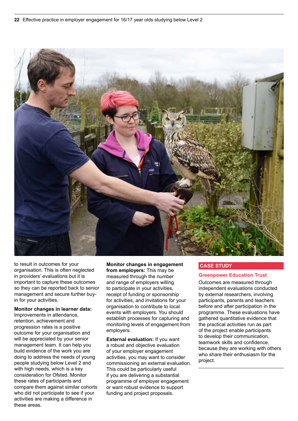

to result in outcomes for your organisation. This is often neglected in providers' evaluations but it is important to capture these outcomes so they can be reported back to senior management and secure further buyin for your activities.

**Monitor changes in learner data:** Improvements in attendance, retention, achievement and progression rates is a positive outcome for your organisation and will be appreciated by your senior management team. It can help you build evidence of the work you are doing to address the needs of young people studying below Level 2 and with high needs, which is a key consideration for Ofsted. Monitor these rates of participants and compare them against similar cohorts who did not participate to see if your activities are making a difference in these areas.

**Monitor changes in engagement from employers:** This may be measured through the number and range of employers willing to participate in your activities, receipt of funding or sponsorship for activities, and invitations for your organisation to contribute to local events with employers. You should establish processes for capturing and monitoring levels of engagement from employers.

**External evaluation:** If you want a robust and objective evaluation of your employer engagement activities, you may want to consider commissioning an external evaluation. This could be particularly useful if you are delivering a substantial programme of employer engagement or want robust evidence to support funding and project proposals.

#### **CASE STUDY**

#### **Greenpower Education Trust**

Outcomes are measured through independent evaluations conducted by external researchers, involving participants, parents and teachers before and after participation in the programme. These evaluations have gathered quantitative evidence that the practical activities run as part of the project enable participants to develop their communication, teamwork skills and confidence, because they are working with others who share their enthusiasm for the project.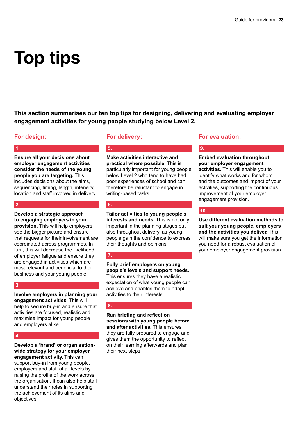# **Top tips**

**This section summarises our ten top tips for designing, delivering and evaluating employer engagement activities for young people studying below Level 2.**

# **For design:**

# **1.**

**Ensure all your decisions about employer engagement activities consider the needs of the young people you are targeting.** This includes decisions about the aims, sequencing, timing, length, intensity, location and staff involved in delivery.

# **2.**

**Develop a strategic approach to engaging employers in your provision.** This will help employers see the bigger picture and ensure that requests for their involvement are coordinated across programmes. In turn, this will decrease the likelihood of employer fatigue and ensure they are engaged in activities which are most relevant and beneficial to their business and your young people.

# **3.**

**Involve employers in planning your engagement activities.** This will help to secure buy-in and ensure that activities are focused, realistic and maximise impact for young people and employers alike.

# **4.**

**Develop a 'brand' or organisationwide strategy for your employer engagement activity.** This can support buy-in from young people, employers and staff at all levels by raising the profile of the work across the organisation. It can also help staff understand their roles in supporting the achievement of its aims and objectives.

# **For delivery:**

**Make activities interactive and practical where possible.** This is particularly important for young people below Level 2 who tend to have had poor experiences of school and can therefore be reluctant to engage in writing-based tasks.

# **6.**

**5.**

**Tailor activities to young people's interests and needs.** This is not only important in the planning stages but also throughout delivery, as young people gain the confidence to express their thoughts and opinions.

# **7.**

**Fully brief employers on young people's levels and support needs.** This ensures they have a realistic expectation of what young people can achieve and enables them to adapt activities to their interests.

# **8.**

**Run briefing and reflection sessions with young people before and after activities.** This ensures they are fully prepared to engage and gives them the opportunity to reflect on their learning afterwards and plan their next steps.

# **For evaluation:**

### **Embed evaluation throughout your employer engagement activities.** This will enable you to identify what works and for whom and the outcomes and impact of your activities, supporting the continuous improvement of your employer engagement provision.

# **10.**

**9.**

**Use different evaluation methods to suit your young people, employers and the activities you deliver.** This will make sure you get the information you need for a robust evaluation of your employer engagement provision.